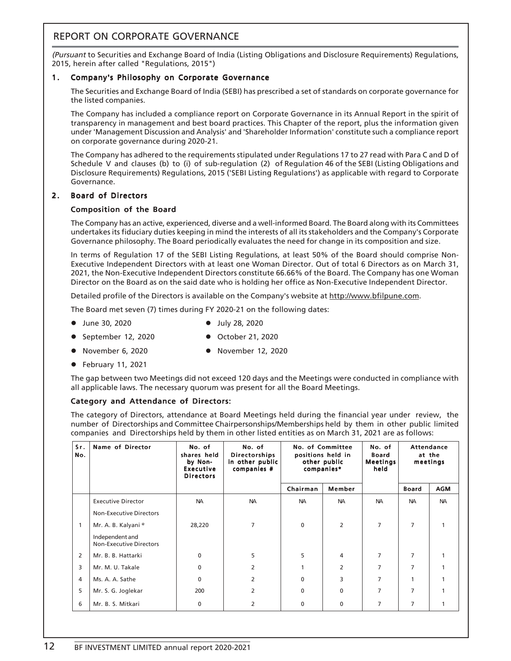# REPORT ON CORPORATE GOVERNANCE

(Pursuant to Securities and Exchange Board of India (Listing Obligations and Disclosure Requirements) Regulations, 2015, herein after called "Regulations, 2015")

# 1. Company's Philosophy on Corporate Governance

The Securities and Exchange Board of India (SEBI) has prescribed a set of standards on corporate governance for the listed companies.

The Company has included a compliance report on Corporate Governance in its Annual Report in the spirit of transparency in management and best board practices. This Chapter of the report, plus the information given under 'Management Discussion and Analysis' and 'Shareholder Information' constitute such a compliance report on corporate governance during 2020-21.

The Company has adhered to the requirements stipulated under Regulations 17 to 27 read with Para C and D of Schedule V and clauses (b) to (i) of sub-regulation (2) of Regulation 46 of the SEBI (Listing Obligations and Disclosure Requirements) Regulations, 2015 ('SEBI Listing Regulations') as applicable with regard to Corporate Governance.

# 2. Board of Directors

# Composition of the Board

The Company has an active, experienced, diverse and a well-informed Board. The Board along with its Committees undertakes its fiduciary duties keeping in mind the interests of all its stakeholders and the Company's Corporate Governance philosophy. The Board periodically evaluates the need for change in its composition and size.

In terms of Regulation 17 of the SEBI Listing Regulations, at least 50% of the Board should comprise Non-Executive Independent Directors with at least one Woman Director. Out of total 6 Directors as on March 31, 2021, the Non-Executive Independent Directors constitute 66.66% of the Board. The Company has one Woman Director on the Board as on the said date who is holding her office as Non-Executive Independent Director.

Detailed profile of the Directors is available on the Company's website at http://www.bfilpune.com.

The Board met seven (7) times during FY 2020-21 on the following dates:

• November 6, 2020 **•** November 12, 2020

- July 28, 2020  **July 28, 2020** 
	-
- September 12, 2020 October 21, 2020
	-
- $\bullet$  February 11, 2021

The gap between two Meetings did not exceed 120 days and the Meetings were conducted in compliance with all applicable laws. The necessary quorum was present for all the Board Meetings.

# Category and Attendance of Directors:

The category of Directors, attendance at Board Meetings held during the financial year under review, the number of Directorships and Committee Chairpersonships/Memberships held by them in other public limited companies and Directorships held by them in other listed entities as on March 31, 2021 are as follows:

| Sr.<br>No. | <b>Name of Director</b>                           | No. of<br>shares held<br>by Non-<br><b>Executive</b><br><b>Directors</b> | No. of<br><b>Directorships</b><br>in other public<br>companies # | No. of Committee<br>positions held in<br>other public<br>companies* |                | No. of<br><b>Board</b><br><b>Meetings</b><br>held |              | <b>Attendance</b><br>at the<br>meetings |
|------------|---------------------------------------------------|--------------------------------------------------------------------------|------------------------------------------------------------------|---------------------------------------------------------------------|----------------|---------------------------------------------------|--------------|-----------------------------------------|
|            |                                                   |                                                                          |                                                                  | Chairman                                                            | Member         |                                                   | <b>Board</b> | <b>AGM</b>                              |
|            | <b>Executive Director</b>                         | <b>NA</b>                                                                | <b>NA</b>                                                        | <b>NA</b>                                                           | <b>NA</b>      | <b>NA</b>                                         | <b>NA</b>    | <b>NA</b>                               |
|            | <b>Non-Executive Directors</b>                    |                                                                          |                                                                  |                                                                     |                |                                                   |              |                                         |
| 1          | Mr. A. B. Kalyani <sup>®</sup>                    | 28,220                                                                   | 7                                                                | $\mathbf{0}$                                                        | 2              | $\overline{7}$                                    | 7            |                                         |
|            | Independent and<br><b>Non-Executive Directors</b> |                                                                          |                                                                  |                                                                     |                |                                                   |              |                                         |
| 2          | Mr. B. B. Hattarki                                | $\Omega$                                                                 | 5                                                                | 5                                                                   | 4              | 7                                                 | 7            |                                         |
| 3          | Mr. M. U. Takale                                  | $\mathbf{0}$                                                             | 2                                                                | 1                                                                   | $\overline{2}$ | 7                                                 | 7            |                                         |
| 4          | Ms. A. A. Sathe                                   | $\Omega$                                                                 | $\overline{2}$                                                   | $\Omega$                                                            | 3              | $\overline{7}$                                    |              |                                         |
| 5          | Mr. S. G. Joglekar                                | 200                                                                      | $\overline{2}$                                                   | $\Omega$                                                            | 0              | $\overline{7}$                                    | 7            |                                         |
| 6          | Mr. B. S. Mitkari                                 | 0                                                                        | 2                                                                | 0                                                                   | 0              | 7                                                 | 7            |                                         |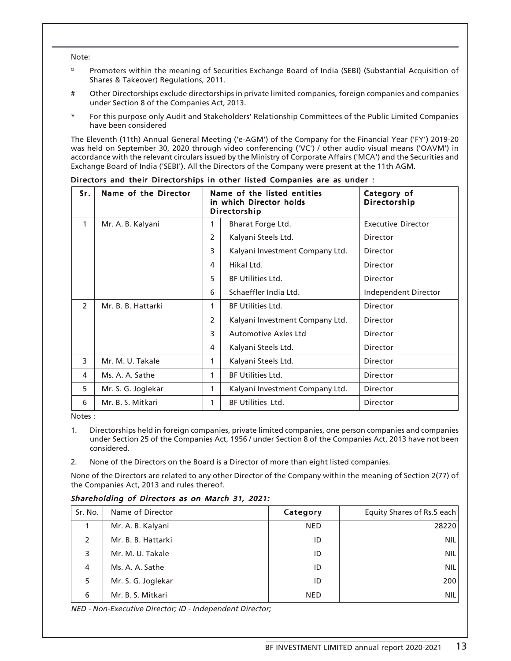Note:

- @ Promoters within the meaning of Securities Exchange Board of India (SEBI) (Substantial Acquisition of Shares & Takeover) Regulations, 2011.
- # Other Directorships exclude directorships in private limited companies, foreign companies and companies under Section 8 of the Companies Act, 2013.
- For this purpose only Audit and Stakeholders' Relationship Committees of the Public Limited Companies have been considered

The Eleventh (11th) Annual General Meeting ('e-AGM') of the Company for the Financial Year ('FY') 2019-20 was held on September 30, 2020 through video conferencing ('VC') / other audio visual means ('OAVM') in accordance with the relevant circulars issued by the Ministry of Corporate Affairs ('MCA') and the Securities and Exchange Board of India ('SEBI'). All the Directors of the Company were present at the 11th AGM.

| Sr.           | Name of the Director | Name of the listed entities<br>in which Director holds<br>Directorship |                                 | Category of<br><b>Directorship</b> |
|---------------|----------------------|------------------------------------------------------------------------|---------------------------------|------------------------------------|
| 1             | Mr. A. B. Kalyani    | 1                                                                      | Bharat Forge Ltd.               | <b>Executive Director</b>          |
|               |                      | 2                                                                      | Kalyani Steels Ltd.             | Director                           |
|               |                      | 3                                                                      | Kalyani Investment Company Ltd. | <b>Director</b>                    |
|               |                      | 4                                                                      | Hikal Ltd.                      | <b>Director</b>                    |
|               |                      | 5                                                                      | <b>BF Utilities Ltd.</b>        | Director                           |
|               |                      | 6                                                                      | Schaeffler India Ltd.           | Independent Director               |
| $\mathcal{P}$ | Mr. B. B. Hattarki   | 1                                                                      | <b>BF Utilities Ltd.</b>        | Director                           |
|               |                      | 2                                                                      | Kalyani Investment Company Ltd. | Director                           |
|               |                      | 3                                                                      | <b>Automotive Axles Ltd</b>     | <b>Director</b>                    |
|               |                      | 4                                                                      | Kalyani Steels Ltd.             | <b>Director</b>                    |
| 3             | Mr. M. U. Takale     | 1                                                                      | Kalyani Steels Ltd.             | <b>Director</b>                    |
| 4             | Ms. A. A. Sathe      | 1                                                                      | <b>BF Utilities Ltd.</b>        | <b>Director</b>                    |
| 5             | Mr. S. G. Joglekar   |                                                                        | Kalyani Investment Company Ltd. | Director                           |
| 6             | Mr. B. S. Mitkari    |                                                                        | <b>BF Utilities Ltd.</b>        | <b>Director</b>                    |

#### Directors and their Directorships in other listed Companies are as under :

Notes :

- 1. Directorships held in foreign companies, private limited companies, one person companies and companies under Section 25 of the Companies Act, 1956 / under Section 8 of the Companies Act, 2013 have not been considered.
- 2. None of the Directors on the Board is a Director of more than eight listed companies.

None of the Directors are related to any other Director of the Company within the meaning of Section 2(77) of the Companies Act, 2013 and rules thereof.

# Shareholding of Directors as on March 31, 2021:

| Sr. No. | Name of Director   | Category   | Equity Shares of Rs.5 each |
|---------|--------------------|------------|----------------------------|
|         | Mr. A. B. Kalyani  | <b>NED</b> | 28220                      |
| 2       | Mr. B. B. Hattarki | ID         | <b>NIL</b>                 |
| 3       | Mr. M. U. Takale   | ID         | <b>NIL</b>                 |
| 4       | Ms. A. A. Sathe    | ID         | <b>NIL</b>                 |
| 5       | Mr. S. G. Joglekar | ID         | 200                        |
| 6       | Mr. B. S. Mitkari  | <b>NED</b> | <b>NIL</b>                 |

NED - Non-Executive Director; ID - Independent Director;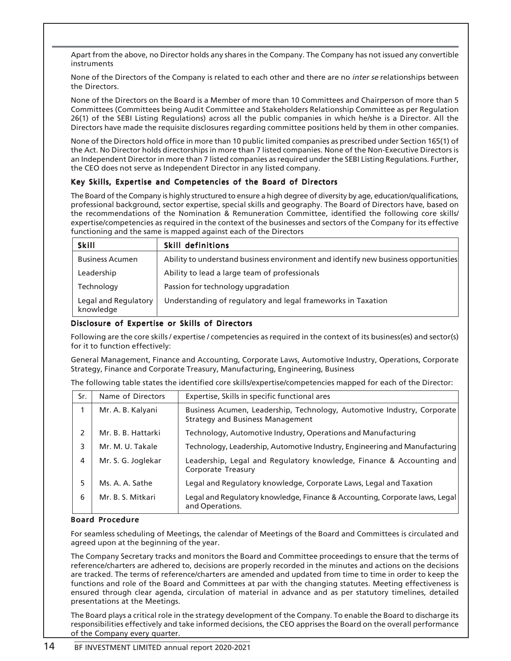Apart from the above, no Director holds any shares in the Company. The Company has not issued any convertible instruments

None of the Directors of the Company is related to each other and there are no *inter se* relationships between the Directors.

None of the Directors on the Board is a Member of more than 10 Committees and Chairperson of more than 5 Committees (Committees being Audit Committee and Stakeholders Relationship Committee as per Regulation 26(1) of the SEBI Listing Regulations) across all the public companies in which he/she is a Director. All the Directors have made the requisite disclosures regarding committee positions held by them in other companies.

None of the Directors hold office in more than 10 public limited companies as prescribed under Section 165(1) of the Act. No Director holds directorships in more than 7 listed companies. None of the Non-Executive Directors is an Independent Director in more than 7 listed companies as required under the SEBI Listing Regulations. Further, the CEO does not serve as Independent Director in any listed company.

# Key Skills, Expertise and Competencies of the Board of Directors

The Board of the Company is highly structured to ensure a high degree of diversity by age, education/qualifications, professional background, sector expertise, special skills and geography. The Board of Directors have, based on the recommendations of the Nomination & Remuneration Committee, identified the following core skills/ expertise/competencies as required in the context of the businesses and sectors of the Company for its effective functioning and the same is mapped against each of the Directors

| <b>Skill</b>                      | <b>Skill definitions</b>                                                           |
|-----------------------------------|------------------------------------------------------------------------------------|
| <b>Business Acumen</b>            | Ability to understand business environment and identify new business opportunities |
| Leadership                        | Ability to lead a large team of professionals                                      |
| Technology                        | Passion for technology upgradation                                                 |
| Legal and Regulatory<br>knowledge | Understanding of regulatory and legal frameworks in Taxation                       |

# Disclosure of Expertise or Skills of Directors

Following are the core skills / expertise / competencies as required in the context of its business(es) and sector(s) for it to function effectively:

General Management, Finance and Accounting, Corporate Laws, Automotive Industry, Operations, Corporate Strategy, Finance and Corporate Treasury, Manufacturing, Engineering, Business

The following table states the identified core skills/expertise/competencies mapped for each of the Director:

| Sr. | Name of Directors  | Expertise, Skills in specific functional ares                                                                      |
|-----|--------------------|--------------------------------------------------------------------------------------------------------------------|
|     | Mr. A. B. Kalyani  | Business Acumen, Leadership, Technology, Automotive Industry, Corporate<br><b>Strategy and Business Management</b> |
| 2   | Mr. B. B. Hattarki | Technology, Automotive Industry, Operations and Manufacturing                                                      |
| 3   | Mr. M. U. Takale   | Technology, Leadership, Automotive Industry, Engineering and Manufacturing                                         |
| 4   | Mr. S. G. Joglekar | Leadership, Legal and Regulatory knowledge, Finance & Accounting and<br>Corporate Treasury                         |
| 5.  | Ms. A. A. Sathe    | Legal and Regulatory knowledge, Corporate Laws, Legal and Taxation                                                 |
| 6   | Mr. B. S. Mitkari  | Legal and Regulatory knowledge, Finance & Accounting, Corporate laws, Legal<br>and Operations.                     |

## Board Procedure

For seamless scheduling of Meetings, the calendar of Meetings of the Board and Committees is circulated and agreed upon at the beginning of the year.

The Company Secretary tracks and monitors the Board and Committee proceedings to ensure that the terms of reference/charters are adhered to, decisions are properly recorded in the minutes and actions on the decisions are tracked. The terms of reference/charters are amended and updated from time to time in order to keep the functions and role of the Board and Committees at par with the changing statutes. Meeting effectiveness is ensured through clear agenda, circulation of material in advance and as per statutory timelines, detailed presentations at the Meetings.

The Board plays a critical role in the strategy development of the Company. To enable the Board to discharge its responsibilities effectively and take informed decisions, the CEO apprises the Board on the overall performance of the Company every quarter.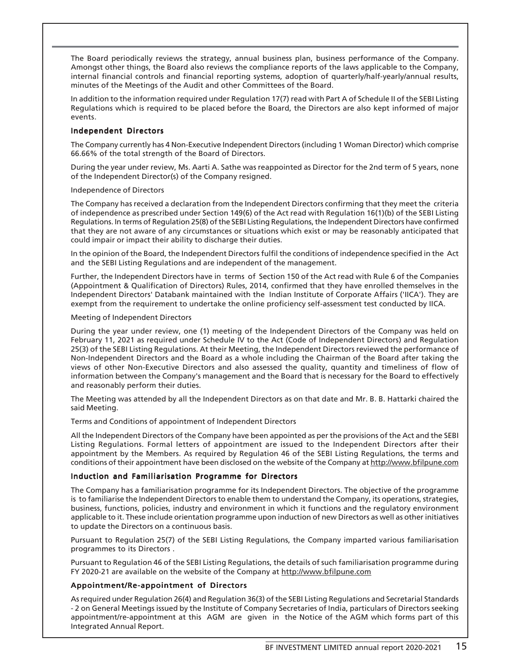The Board periodically reviews the strategy, annual business plan, business performance of the Company. Amongst other things, the Board also reviews the compliance reports of the laws applicable to the Company, internal financial controls and financial reporting systems, adoption of quarterly/half-yearly/annual results, minutes of the Meetings of the Audit and other Committees of the Board.

In addition to the information required under Regulation 17(7) read with Part A of Schedule II of the SEBI Listing Regulations which is required to be placed before the Board, the Directors are also kept informed of major events.

# Independent Directors

The Company currently has 4 Non-Executive Independent Directors (including 1 Woman Director) which comprise 66.66% of the total strength of the Board of Directors.

During the year under review, Ms. Aarti A. Sathe was reappointed as Director for the 2nd term of 5 years, none of the Independent Director(s) of the Company resigned.

## Independence of Directors

The Company has received a declaration from the Independent Directors confirming that they meet the criteria of independence as prescribed under Section 149(6) of the Act read with Regulation 16(1)(b) of the SEBI Listing Regulations. In terms of Regulation 25(8) of the SEBI Listing Regulations, the Independent Directors have confirmed that they are not aware of any circumstances or situations which exist or may be reasonably anticipated that could impair or impact their ability to discharge their duties.

In the opinion of the Board, the Independent Directors fulfil the conditions of independence specified in the Act and the SEBI Listing Regulations and are independent of the management.

Further, the Independent Directors have in terms of Section 150 of the Act read with Rule 6 of the Companies (Appointment & Qualification of Directors) Rules, 2014, confirmed that they have enrolled themselves in the Independent Directors' Databank maintained with the Indian Institute of Corporate Affairs ('IICA'). They are exempt from the requirement to undertake the online proficiency self-assessment test conducted by IICA.

#### Meeting of Independent Directors

During the year under review, one (1) meeting of the Independent Directors of the Company was held on February 11, 2021 as required under Schedule IV to the Act (Code of Independent Directors) and Regulation 25(3) of the SEBI Listing Regulations. At their Meeting, the Independent Directors reviewed the performance of Non-Independent Directors and the Board as a whole including the Chairman of the Board after taking the views of other Non-Executive Directors and also assessed the quality, quantity and timeliness of flow of information between the Company's management and the Board that is necessary for the Board to effectively and reasonably perform their duties.

The Meeting was attended by all the Independent Directors as on that date and Mr. B. B. Hattarki chaired the said Meeting.

Terms and Conditions of appointment of Independent Directors

All the Independent Directors of the Company have been appointed as per the provisions of the Act and the SEBI Listing Regulations. Formal letters of appointment are issued to the Independent Directors after their appointment by the Members. As required by Regulation 46 of the SEBI Listing Regulations, the terms and conditions of their appointment have been disclosed on the website of the Company at http://www.bfilpune.com

## Induction and Familiarisation Programme for Directors

The Company has a familiarisation programme for its Independent Directors. The objective of the programme is to familiarise the Independent Directors to enable them to understand the Company, its operations, strategies, business, functions, policies, industry and environment in which it functions and the regulatory environment applicable to it. These include orientation programme upon induction of new Directors as well as other initiatives to update the Directors on a continuous basis.

Pursuant to Regulation 25(7) of the SEBI Listing Regulations, the Company imparted various familiarisation programmes to its Directors .

Pursuant to Regulation 46 of the SEBI Listing Regulations, the details of such familiarisation programme during FY 2020-21 are available on the website of the Company at http://www.bfilpune.com

# Appointment/Re-appointment of Directors

As required under Regulation 26(4) and Regulation 36(3) of the SEBI Listing Regulations and Secretarial Standards - 2 on General Meetings issued by the Institute of Company Secretaries of India, particulars of Directors seeking appointment/re-appointment at this AGM are given in the Notice of the AGM which forms part of this Integrated Annual Report.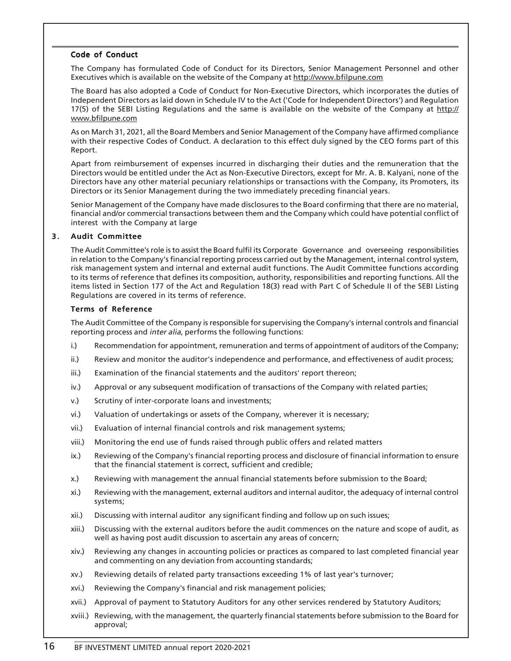# Code of Conduct

The Company has formulated Code of Conduct for its Directors, Senior Management Personnel and other Executives which is available on the website of the Company at http://www.bfilpune.com

The Board has also adopted a Code of Conduct for Non-Executive Directors, which incorporates the duties of Independent Directors as laid down in Schedule IV to the Act ('Code for Independent Directors') and Regulation 17(5) of the SEBI Listing Regulations and the same is available on the website of the Company at http:// www.bfilpune.com

As on March 31, 2021, all the Board Members and Senior Management of the Company have affirmed compliance with their respective Codes of Conduct. A declaration to this effect duly signed by the CEO forms part of this Report.

Apart from reimbursement of expenses incurred in discharging their duties and the remuneration that the Directors would be entitled under the Act as Non-Executive Directors, except for Mr. A. B. Kalyani, none of the Directors have any other material pecuniary relationships or transactions with the Company, its Promoters, its Directors or its Senior Management during the two immediately preceding financial years.

Senior Management of the Company have made disclosures to the Board confirming that there are no material, financial and/or commercial transactions between them and the Company which could have potential conflict of interest with the Company at large

## 3. Audit Committee

The Audit Committee's role is to assist the Board fulfil its Corporate Governance and overseeing responsibilities in relation to the Company's financial reporting process carried out by the Management, internal control system, risk management system and internal and external audit functions. The Audit Committee functions according to its terms of reference that defines its composition, authority, responsibilities and reporting functions. All the items listed in Section 177 of the Act and Regulation 18(3) read with Part C of Schedule II of the SEBI Listing Regulations are covered in its terms of reference.

#### Terms of Reference

The Audit Committee of the Company is responsible for supervising the Company's internal controls and financial reporting process and inter alia, performs the following functions:

- i.) Recommendation for appointment, remuneration and terms of appointment of auditors of the Company;
- ii.) Review and monitor the auditor's independence and performance, and effectiveness of audit process;
- iii.) Examination of the financial statements and the auditors' report thereon;
- iv.) Approval or any subsequent modification of transactions of the Company with related parties;
- v.) Scrutiny of inter-corporate loans and investments;
- vi.) Valuation of undertakings or assets of the Company, wherever it is necessary;
- vii.) Evaluation of internal financial controls and risk management systems;
- viii.) Monitoring the end use of funds raised through public offers and related matters
- ix.) Reviewing of the Company's financial reporting process and disclosure of financial information to ensure that the financial statement is correct, sufficient and credible;
- x.) Reviewing with management the annual financial statements before submission to the Board;
- xi.) Reviewing with the management, external auditors and internal auditor, the adequacy of internal control systems;
- xii.) Discussing with internal auditor any significant finding and follow up on such issues;
- xiii.) Discussing with the external auditors before the audit commences on the nature and scope of audit, as well as having post audit discussion to ascertain any areas of concern;
- xiv.) Reviewing any changes in accounting policies or practices as compared to last completed financial year and commenting on any deviation from accounting standards;
- xv.) Reviewing details of related party transactions exceeding 1% of last year's turnover;
- xvi.) Reviewing the Company's financial and risk management policies;
- xvii.) Approval of payment to Statutory Auditors for any other services rendered by Statutory Auditors;
- xviii.) Reviewing, with the management, the quarterly financial statements before submission to the Board for approval;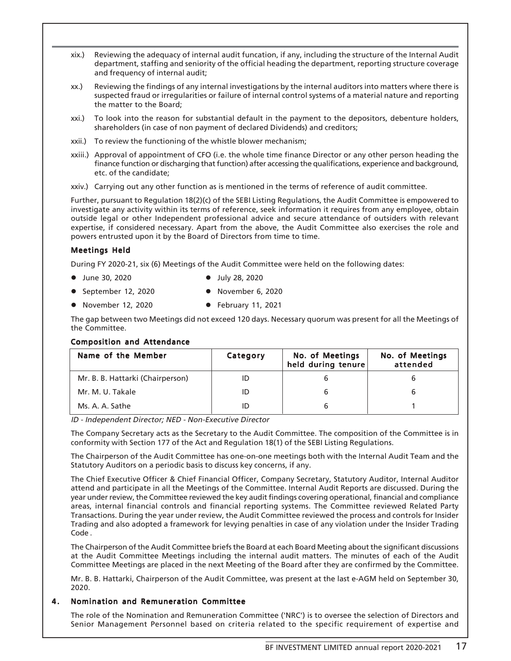- xix.) Reviewing the adequacy of internal audit funcation, if any, including the structure of the Internal Audit department, staffing and seniority of the official heading the department, reporting structure coverage and frequency of internal audit;
- xx.) Reviewing the findings of any internal investigations by the internal auditors into matters where there is suspected fraud or irregularities or failure of internal control systems of a material nature and reporting the matter to the Board;
- xxi.) To look into the reason for substantial default in the payment to the depositors, debenture holders, shareholders (in case of non payment of declared Dividends) and creditors;
- xxii.) To review the functioning of the whistle blower mechanism;
- xxiii.) Approval of appointment of CFO (i.e. the whole time finance Director or any other person heading the finance function or discharging that function) after accessing the qualifications, experience and background, etc. of the candidate;
- xxiv.) Carrying out any other function as is mentioned in the terms of reference of audit committee.

Further, pursuant to Regulation 18(2)(c) of the SEBI Listing Regulations, the Audit Committee is empowered to investigate any activity within its terms of reference, seek information it requires from any employee, obtain outside legal or other Independent professional advice and secure attendance of outsiders with relevant expertise, if considered necessary. Apart from the above, the Audit Committee also exercises the role and powers entrusted upon it by the Board of Directors from time to time.

## Meetings Held

During FY 2020-21, six (6) Meetings of the Audit Committee were held on the following dates:

- July 28, 2020 **●** July 28, 2020
- September 12, 2020 **●** November 6, 2020
- November 12, 2020 February 11, 2021

The gap between two Meetings did not exceed 120 days. Necessary quorum was present for all the Meetings of the Committee.

## Composition and Attendance

| Name of the Member               | Category | No. of Meetings<br>held during tenure | No. of Meetings<br>attended |
|----------------------------------|----------|---------------------------------------|-----------------------------|
| Mr. B. B. Hattarki (Chairperson) |          |                                       |                             |
| Mr. M. U. Takale                 | ID       |                                       |                             |
| Ms. A. A. Sathe                  |          |                                       |                             |

ID - Independent Director; NED - Non-Executive Director

The Company Secretary acts as the Secretary to the Audit Committee. The composition of the Committee is in conformity with Section 177 of the Act and Regulation 18(1) of the SEBI Listing Regulations.

The Chairperson of the Audit Committee has one-on-one meetings both with the Internal Audit Team and the Statutory Auditors on a periodic basis to discuss key concerns, if any.

The Chief Executive Officer & Chief Financial Officer, Company Secretary, Statutory Auditor, Internal Auditor attend and participate in all the Meetings of the Committee. Internal Audit Reports are discussed. During the year under review, the Committee reviewed the key audit findings covering operational, financial and compliance areas, internal financial controls and financial reporting systems. The Committee reviewed Related Party Transactions. During the year under review, the Audit Committee reviewed the process and controls for Insider Trading and also adopted a framework for levying penalties in case of any violation under the Insider Trading Code .

The Chairperson of the Audit Committee briefs the Board at each Board Meeting about the significant discussions at the Audit Committee Meetings including the internal audit matters. The minutes of each of the Audit Committee Meetings are placed in the next Meeting of the Board after they are confirmed by the Committee.

Mr. B. B. Hattarki, Chairperson of the Audit Committee, was present at the last e-AGM held on September 30, 2020.

## 4 . Nomination and Remuneration Committee

The role of the Nomination and Remuneration Committee ('NRC') is to oversee the selection of Directors and Senior Management Personnel based on criteria related to the specific requirement of expertise and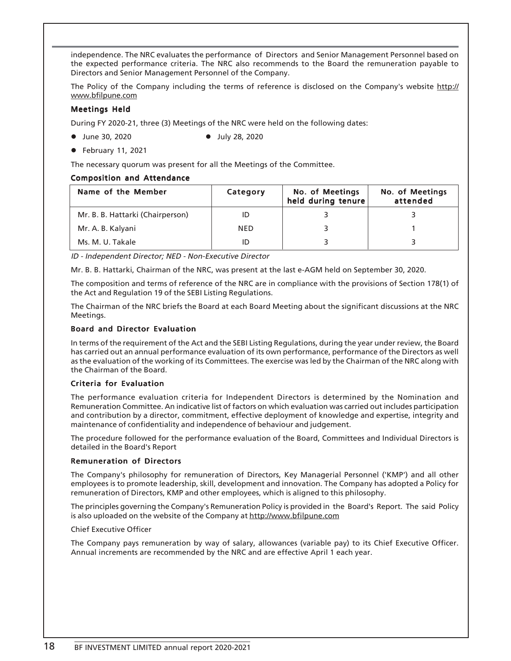independence. The NRC evaluates the performance of Directors and Senior Management Personnel based on the expected performance criteria. The NRC also recommends to the Board the remuneration payable to Directors and Senior Management Personnel of the Company.

The Policy of the Company including the terms of reference is disclosed on the Company's website http:// www.bfilpune.com

# Meetings Held

During FY 2020-21, three (3) Meetings of the NRC were held on the following dates:

• June 30, 2020 **•** July 28, 2020

 $\bullet$  February 11, 2021

The necessary quorum was present for all the Meetings of the Committee.

## Composition and Attendance

| Name of the Member               | Category   | No. of Meetings<br>held during tenure | No. of Meetings<br>attended |
|----------------------------------|------------|---------------------------------------|-----------------------------|
| Mr. B. B. Hattarki (Chairperson) |            |                                       |                             |
| Mr. A. B. Kalyani                | <b>NED</b> |                                       |                             |
| Ms. M. U. Takale                 |            |                                       |                             |

ID - Independent Director; NED - Non-Executive Director

Mr. B. B. Hattarki, Chairman of the NRC, was present at the last e-AGM held on September 30, 2020.

The composition and terms of reference of the NRC are in compliance with the provisions of Section 178(1) of the Act and Regulation 19 of the SEBI Listing Regulations.

The Chairman of the NRC briefs the Board at each Board Meeting about the significant discussions at the NRC Meetings.

## Board and Director Evaluation

In terms of the requirement of the Act and the SEBI Listing Regulations, during the year under review, the Board has carried out an annual performance evaluation of its own performance, performance of the Directors as well as the evaluation of the working of its Committees. The exercise was led by the Chairman of the NRC along with the Chairman of the Board.

## Criteria for Evaluation

The performance evaluation criteria for Independent Directors is determined by the Nomination and Remuneration Committee. An indicative list of factors on which evaluation was carried out includes participation and contribution by a director, commitment, effective deployment of knowledge and expertise, integrity and maintenance of confidentiality and independence of behaviour and judgement.

The procedure followed for the performance evaluation of the Board, Committees and Individual Directors is detailed in the Board's Report

## Remuneration of Directors

The Company's philosophy for remuneration of Directors, Key Managerial Personnel ('KMP') and all other employees is to promote leadership, skill, development and innovation. The Company has adopted a Policy for remuneration of Directors, KMP and other employees, which is aligned to this philosophy.

The principles governing the Company's Remuneration Policy is provided in the Board's Report. The said Policy is also uploaded on the website of the Company at http://www.bfilpune.com

#### Chief Executive Officer

The Company pays remuneration by way of salary, allowances (variable pay) to its Chief Executive Officer. Annual increments are recommended by the NRC and are effective April 1 each year.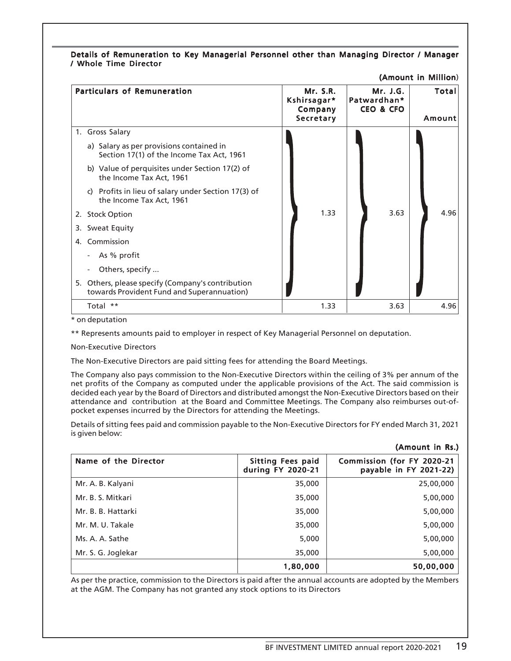| Details of Remuneration to Key Managerial Personnel other than Managing Director / Manager |  |  |  |  |
|--------------------------------------------------------------------------------------------|--|--|--|--|
| / Whole Time Director                                                                      |  |  |  |  |

|    | <b>MINATION IN BUILDING</b>                                                                     |                                                               |                                                 |                 |  |
|----|-------------------------------------------------------------------------------------------------|---------------------------------------------------------------|-------------------------------------------------|-----------------|--|
|    | <b>Particulars of Remuneration</b>                                                              | <b>Mr. S.R.</b><br>Kshirsagar*<br>Company<br><b>Secretary</b> | Mr. J.G.<br>Patwardhan*<br><b>CEO &amp; CFO</b> | Total<br>Amount |  |
| 1. | <b>Gross Salary</b>                                                                             |                                                               |                                                 |                 |  |
|    | a) Salary as per provisions contained in<br>Section 17(1) of the Income Tax Act, 1961           |                                                               |                                                 |                 |  |
|    | b) Value of perquisites under Section 17(2) of<br>the Income Tax Act, 1961                      |                                                               |                                                 |                 |  |
|    | Profits in lieu of salary under Section 17(3) of<br>C)<br>the Income Tax Act, 1961              |                                                               |                                                 |                 |  |
|    | 2. Stock Option                                                                                 | 1.33                                                          | 3.63                                            | 4.96            |  |
|    | 3. Sweat Equity                                                                                 |                                                               |                                                 |                 |  |
| 4. | Commission                                                                                      |                                                               |                                                 |                 |  |
|    | As % profit                                                                                     |                                                               |                                                 |                 |  |
|    | Others, specify                                                                                 |                                                               |                                                 |                 |  |
|    | 5. Others, please specify (Company's contribution<br>towards Provident Fund and Superannuation) |                                                               |                                                 |                 |  |
|    | Total **                                                                                        | 1.33                                                          | 3.63                                            | 4.96            |  |

 $(Amount in$  Million $)$ 

\* on deputation

\*\* Represents amounts paid to employer in respect of Key Managerial Personnel on deputation.

Non-Executive Directors

The Non-Executive Directors are paid sitting fees for attending the Board Meetings.

The Company also pays commission to the Non-Executive Directors within the ceiling of 3% per annum of the net profits of the Company as computed under the applicable provisions of the Act. The said commission is decided each year by the Board of Directors and distributed amongst the Non-Executive Directors based on their attendance and contribution at the Board and Committee Meetings. The Company also reimburses out-ofpocket expenses incurred by the Directors for attending the Meetings.

Details of sitting fees paid and commission payable to the Non-Executive Directors for FY ended March 31, 2021 is given below:

|                      |                                               | (Amount in Rs.)                                      |
|----------------------|-----------------------------------------------|------------------------------------------------------|
| Name of the Director | <b>Sitting Fees paid</b><br>during FY 2020-21 | Commission (for FY 2020-21<br>payable in FY 2021-22) |
| Mr. A. B. Kalyani    | 35,000                                        | 25,00,000                                            |
| Mr. B. S. Mitkari    | 35,000                                        | 5,00,000                                             |
| Mr. B. B. Hattarki   | 35,000                                        | 5,00,000                                             |
| Mr. M. U. Takale     | 35,000                                        | 5,00,000                                             |
| Ms. A. A. Sathe      | 5,000                                         | 5,00,000                                             |
| Mr. S. G. Joglekar   | 35,000                                        | 5,00,000                                             |
|                      | 1,80,000                                      | 50,00,000                                            |

As per the practice, commission to the Directors is paid after the annual accounts are adopted by the Members at the AGM. The Company has not granted any stock options to its Directors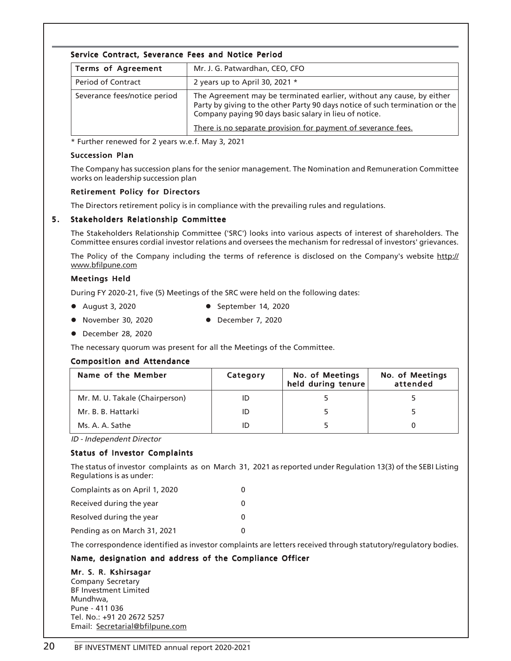# Service Contract, Severance Fees and Notice Period

| <b>Terms of Agreement</b>    | Mr. J. G. Patwardhan, CEO, CFO                                                                                                                                                                                  |
|------------------------------|-----------------------------------------------------------------------------------------------------------------------------------------------------------------------------------------------------------------|
| <b>Period of Contract</b>    | 2 years up to April 30, 2021 $*$                                                                                                                                                                                |
| Severance fees/notice period | The Agreement may be terminated earlier, without any cause, by either<br>Party by giving to the other Party 90 days notice of such termination or the<br>Company paying 90 days basic salary in lieu of notice. |
|                              | There is no separate provision for payment of severance fees.                                                                                                                                                   |

\* Further renewed for 2 years w.e.f. May 3, 2021

#### Succession Plan

The Company has succession plans for the senior management. The Nomination and Remuneration Committee works on leadership succession plan

## Retirement Policy for Directors

The Directors retirement policy is in compliance with the prevailing rules and regulations.

## 5 . Stakeholders Relationship Committee

The Stakeholders Relationship Committee ('SRC') looks into various aspects of interest of shareholders. The Committee ensures cordial investor relations and oversees the mechanism for redressal of investors' grievances.

The Policy of the Company including the terms of reference is disclosed on the Company's website http:// www.bfilpune.com

#### Meetings Held

During FY 2020-21, five (5) Meetings of the SRC were held on the following dates:

- August 3, 2020  **September 14, 2020**
- 
- November 30, 2020 **•** December 7, 2020
- December 28, 2020

The necessary quorum was present for all the Meetings of the Committee.

## Composition and Attendance

| Name of the Member             | Category | <b>No. of Meetings</b><br>held during tenure | No. of Meetings<br>attended |
|--------------------------------|----------|----------------------------------------------|-----------------------------|
| Mr. M. U. Takale (Chairperson) |          |                                              |                             |
| Mr. B. B. Hattarki             |          |                                              |                             |
| Ms. A. A. Sathe                |          |                                              |                             |

ID - Independent Director

## Status of Investor Complaints

The status of investor complaints as on March 31, 2021 as reported under Regulation 13(3) of the SEBI Listing Regulations is as under:

| Complaints as on April 1, 2020 | O |
|--------------------------------|---|
| Received during the year       | 0 |
| Resolved during the year       | 0 |
| Pending as on March 31, 2021   | O |

The correspondence identified as investor complaints are letters received through statutory/regulatory bodies.

## Name, designation and address of the Compliance Officer

## Mr. S. R. Kshirsagar

Company Secretary BF Investment Limited Mundhwa, Pune - 411 036 Tel. No.: +91 20 2672 5257 Email: Secretarial@bfilpune.com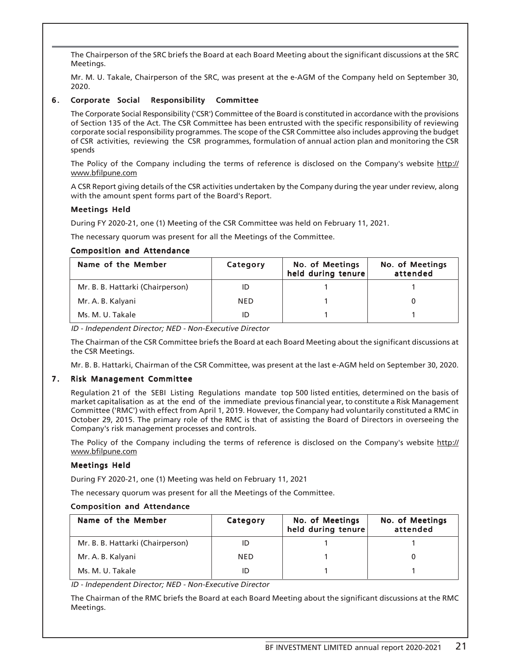The Chairperson of the SRC briefs the Board at each Board Meeting about the significant discussions at the SRC Meetings.

Mr. M. U. Takale, Chairperson of the SRC, was present at the e-AGM of the Company held on September 30, 2020.

# 6 . Corporate Social Responsibility Committee

The Corporate Social Responsibility ('CSR') Committee of the Board is constituted in accordance with the provisions of Section 135 of the Act. The CSR Committee has been entrusted with the specific responsibility of reviewing corporate social responsibility programmes. The scope of the CSR Committee also includes approving the budget of CSR activities, reviewing the CSR programmes, formulation of annual action plan and monitoring the CSR spends

The Policy of the Company including the terms of reference is disclosed on the Company's website http:// www.bfilpune.com

A CSR Report giving details of the CSR activities undertaken by the Company during the year under review, along with the amount spent forms part of the Board's Report.

## Meetings Held

During FY 2020-21, one (1) Meeting of the CSR Committee was held on February 11, 2021.

The necessary quorum was present for all the Meetings of the Committee.

## Composition and Attendance

| Name of the Member               | Category   | No. of Meetings<br>held during tenure | No. of Meetings<br>attended |
|----------------------------------|------------|---------------------------------------|-----------------------------|
| Mr. B. B. Hattarki (Chairperson) |            |                                       |                             |
| Mr. A. B. Kalyani                | <b>NED</b> |                                       |                             |
| Ms. M. U. Takale                 |            |                                       |                             |

ID - Independent Director; NED - Non-Executive Director

The Chairman of the CSR Committee briefs the Board at each Board Meeting about the significant discussions at the CSR Meetings.

Mr. B. B. Hattarki, Chairman of the CSR Committee, was present at the last e-AGM held on September 30, 2020.

## 7. Risk Management Committee

Regulation 21 of the SEBI Listing Regulations mandate top 500 listed entities, determined on the basis of market capitalisation as at the end of the immediate previous financial year, to constitute a Risk Management Committee ('RMC') with effect from April 1, 2019. However, the Company had voluntarily constituted a RMC in October 29, 2015. The primary role of the RMC is that of assisting the Board of Directors in overseeing the Company's risk management processes and controls.

The Policy of the Company including the terms of reference is disclosed on the Company's website http:// www.bfilpune.com

## Meetings Held

During FY 2020-21, one (1) Meeting was held on February 11, 2021

The necessary quorum was present for all the Meetings of the Committee.

## Composition and Attendance

| Name of the Member               | Category   | No. of Meetings<br>held during tenure | <b>No. of Meetings</b><br>attended |
|----------------------------------|------------|---------------------------------------|------------------------------------|
| Mr. B. B. Hattarki (Chairperson) |            |                                       |                                    |
| Mr. A. B. Kalyani                | <b>NED</b> |                                       |                                    |
| Ms. M. U. Takale                 |            |                                       |                                    |

ID - Independent Director; NED - Non-Executive Director

The Chairman of the RMC briefs the Board at each Board Meeting about the significant discussions at the RMC Meetings.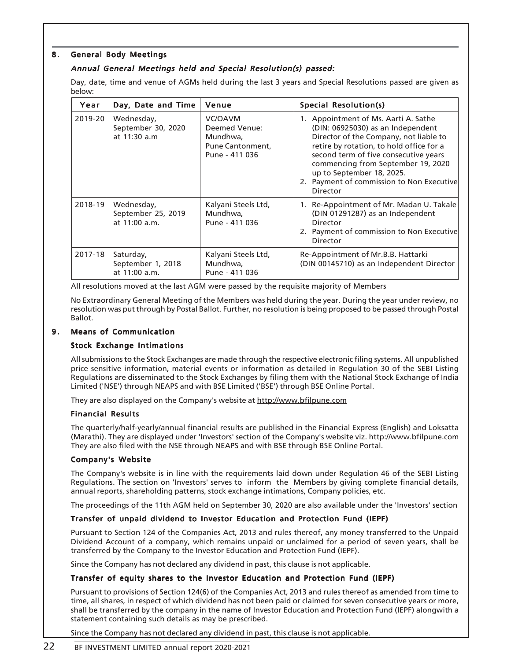# 8. General Body Meetings

# Annual General Meetings held and Special Resolution(s) passed:

Day, date, time and venue of AGMs held during the last 3 years and Special Resolutions passed are given as below:

| Year    | Day, Date and Time                                | Venue                                                                      | <b>Special Resolution(s)</b>                                                                                                                                                                                                                                                                                                         |
|---------|---------------------------------------------------|----------------------------------------------------------------------------|--------------------------------------------------------------------------------------------------------------------------------------------------------------------------------------------------------------------------------------------------------------------------------------------------------------------------------------|
| 2019-20 | Wednesday,<br>September 30, 2020<br>at 11:30 a.m. | VC/OAVM<br>Deemed Venue:<br>Mundhwa,<br>Pune Cantonment,<br>Pune - 411 036 | 1. Appointment of Ms. Aarti A. Sathe<br>(DIN: 06925030) as an Independent<br>Director of the Company, not liable to<br>retire by rotation, to hold office for a<br>second term of five consecutive years<br>commencing from September 19, 2020<br>up to September 18, 2025.<br>2. Payment of commission to Non Executive<br>Director |
| 2018-19 | Wednesday,<br>September 25, 2019<br>at 11:00 a.m. | Kalyani Steels Ltd,<br>Mundhwa,<br>Pune - 411 036                          | 1. Re-Appointment of Mr. Madan U. Takale<br>(DIN 01291287) as an Independent<br>Director<br>2. Payment of commission to Non Executive<br>Director                                                                                                                                                                                    |
| 2017-18 | Saturday,<br>September 1, 2018<br>at 11:00 a.m.   | Kalyani Steels Ltd,<br>Mundhwa,<br>Pune - 411 036                          | Re-Appointment of Mr.B.B. Hattarki<br>(DIN 00145710) as an Independent Director                                                                                                                                                                                                                                                      |

All resolutions moved at the last AGM were passed by the requisite majority of Members

No Extraordinary General Meeting of the Members was held during the year. During the year under review, no resolution was put through by Postal Ballot. Further, no resolution is being proposed to be passed through Postal Ballot.

# 9. Means of Communication

# Stock Exchange Intimations

All submissions to the Stock Exchanges are made through the respective electronic filing systems. All unpublished price sensitive information, material events or information as detailed in Regulation 30 of the SEBI Listing Regulations are disseminated to the Stock Exchanges by filing them with the National Stock Exchange of India Limited ('NSE') through NEAPS and with BSE Limited ('BSE') through BSE Online Portal.

They are also displayed on the Company's website at http://www.bfilpune.com

## Financial Results

The quarterly/half-yearly/annual financial results are published in the Financial Express (English) and Loksatta (Marathi). They are displayed under 'Investors' section of the Company's website viz. http://www.bfilpune.com They are also filed with the NSE through NEAPS and with BSE through BSE Online Portal.

# Company's Website

The Company's website is in line with the requirements laid down under Regulation 46 of the SEBI Listing Regulations. The section on 'Investors' serves to inform the Members by giving complete financial details, annual reports, shareholding patterns, stock exchange intimations, Company policies, etc.

The proceedings of the 11th AGM held on September 30, 2020 are also available under the 'Investors' section

# Transfer of unpaid dividend to Investor Education and Protection Fund (IEPF)

Pursuant to Section 124 of the Companies Act, 2013 and rules thereof, any money transferred to the Unpaid Dividend Account of a company, which remains unpaid or unclaimed for a period of seven years, shall be transferred by the Company to the Investor Education and Protection Fund (IEPF).

Since the Company has not declared any dividend in past, this clause is not applicable.

## Transfer of equity shares to the Investor Education and Protection Fund (IEPF)

Pursuant to provisions of Section 124(6) of the Companies Act, 2013 and rules thereof as amended from time to time, all shares, in respect of which dividend has not been paid or claimed for seven consecutive years or more, shall be transferred by the company in the name of Investor Education and Protection Fund (IEPF) alongwith a statement containing such details as may be prescribed.

Since the Company has not declared any dividend in past, this clause is not applicable.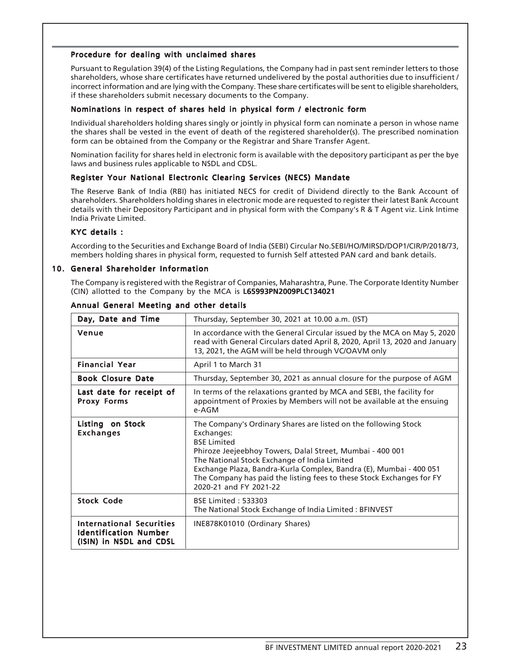## Procedure for dealing with unclaimed shares

Pursuant to Regulation 39(4) of the Listing Regulations, the Company had in past sent reminder letters to those shareholders, whose share certificates have returned undelivered by the postal authorities due to insufficient / incorrect information and are lying with the Company. These share certificates will be sent to eligible shareholders, if these shareholders submit necessary documents to the Company.

#### Nominations in respect of shares held in physical form / electronic form

Individual shareholders holding shares singly or jointly in physical form can nominate a person in whose name the shares shall be vested in the event of death of the registered shareholder(s). The prescribed nomination form can be obtained from the Company or the Registrar and Share Transfer Agent.

Nomination facility for shares held in electronic form is available with the depository participant as per the bye laws and business rules applicable to NSDL and CDSL.

## Register Your National Electronic Clearing Services (NECS) Mandate

The Reserve Bank of India (RBI) has initiated NECS for credit of Dividend directly to the Bank Account of shareholders. Shareholders holding shares in electronic mode are requested to register their latest Bank Account details with their Depository Participant and in physical form with the Company's R & T Agent viz. Link Intime India Private Limited.

#### $KYC$  details :

According to the Securities and Exchange Board of India (SEBI) Circular No.SEBI/HO/MIRSD/DOP1/CIR/P/2018/73, members holding shares in physical form, requested to furnish Self attested PAN card and bank details.

#### 10. General Shareholder Information

The Company is registered with the Registrar of Companies, Maharashtra, Pune. The Corporate Identity Number (CIN) allotted to the Company by the MCA is L65993PN2009PLC134021

| Day, Date and Time                                                                         | Thursday, September 30, 2021 at 10.00 a.m. (IST)                                                                                                                                                                                                                                                                                                                                          |
|--------------------------------------------------------------------------------------------|-------------------------------------------------------------------------------------------------------------------------------------------------------------------------------------------------------------------------------------------------------------------------------------------------------------------------------------------------------------------------------------------|
| Venue                                                                                      | In accordance with the General Circular issued by the MCA on May 5, 2020<br>read with General Circulars dated April 8, 2020, April 13, 2020 and January<br>13, 2021, the AGM will be held through VC/OAVM only                                                                                                                                                                            |
| <b>Financial Year</b>                                                                      | April 1 to March 31                                                                                                                                                                                                                                                                                                                                                                       |
| <b>Book Closure Date</b>                                                                   | Thursday, September 30, 2021 as annual closure for the purpose of AGM                                                                                                                                                                                                                                                                                                                     |
| Last date for receipt of<br><b>Proxy Forms</b>                                             | In terms of the relaxations granted by MCA and SEBI, the facility for<br>appointment of Proxies by Members will not be available at the ensuing<br>$e-AGM$                                                                                                                                                                                                                                |
| Listing on Stock<br><b>Exchanges</b>                                                       | The Company's Ordinary Shares are listed on the following Stock<br>Exchanges:<br><b>BSE Limited</b><br>Phiroze Jeejeebhoy Towers, Dalal Street, Mumbai - 400 001<br>The National Stock Exchange of India Limited<br>Exchange Plaza, Bandra-Kurla Complex, Bandra (E), Mumbai - 400 051<br>The Company has paid the listing fees to these Stock Exchanges for FY<br>2020-21 and FY 2021-22 |
| <b>Stock Code</b>                                                                          | <b>BSE Limited: 533303</b><br>The National Stock Exchange of India Limited : BFINVEST                                                                                                                                                                                                                                                                                                     |
| <b>International Securities</b><br><b>Identification Number</b><br>(ISIN) in NSDL and CDSL | INE878K01010 (Ordinary Shares)                                                                                                                                                                                                                                                                                                                                                            |

#### Annual General Meeting and other details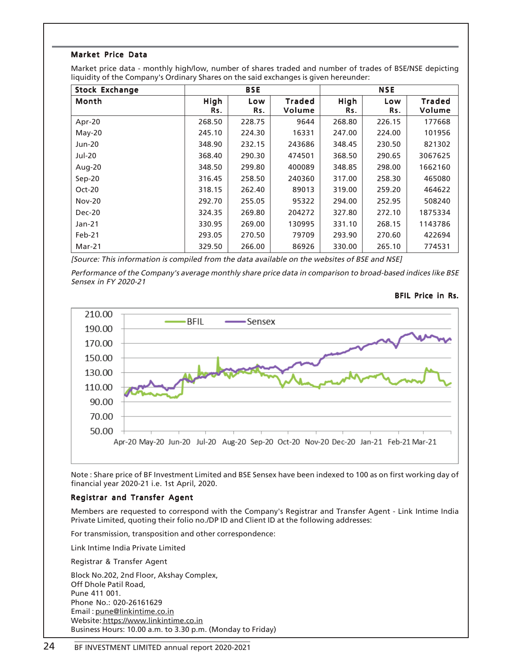# Market Price Data

Market price data - monthly high/low, number of shares traded and number of trades of BSE/NSE depicting liquidity of the Company's Ordinary Shares on the said exchanges is given hereunder:

| <b>Stock Exchange</b> | <b>BSE</b>  |            |                         |             | <b>NSE</b> |                         |
|-----------------------|-------------|------------|-------------------------|-------------|------------|-------------------------|
| Month                 | High<br>Rs. | Low<br>Rs. | <b>Traded</b><br>Volume | High<br>Rs. | Low<br>Rs. | <b>Traded</b><br>Volume |
| Apr-20                | 268.50      | 228.75     | 9644                    | 268.80      | 226.15     | 177668                  |
| $May-20$              | 245.10      | 224.30     | 16331                   | 247.00      | 224.00     | 101956                  |
| <b>Jun-20</b>         | 348.90      | 232.15     | 243686                  | 348.45      | 230.50     | 821302                  |
| <b>Jul-20</b>         | 368.40      | 290.30     | 474501                  | 368.50      | 290.65     | 3067625                 |
| Aug-20                | 348.50      | 299.80     | 400089                  | 348.85      | 298.00     | 1662160                 |
| $Sep-20$              | 316.45      | 258.50     | 240360                  | 317.00      | 258.30     | 465080                  |
| Oct-20                | 318.15      | 262.40     | 89013                   | 319.00      | 259.20     | 464622                  |
| $Nov-20$              | 292.70      | 255.05     | 95322                   | 294.00      | 252.95     | 508240                  |
| Dec-20                | 324.35      | 269.80     | 204272                  | 327.80      | 272.10     | 1875334                 |
| Jan-21                | 330.95      | 269.00     | 130995                  | 331.10      | 268.15     | 1143786                 |
| Feb-21                | 293.05      | 270.50     | 79709                   | 293.90      | 270.60     | 422694                  |
| Mar-21                | 329.50      | 266.00     | 86926                   | 330.00      | 265.10     | 774531                  |

[Source: This information is compiled from the data available on the websites of BSE and NSE]

Performance of the Company's average monthly share price data in comparison to broad-based indices like BSE Sensex in FY 2020-21





Note : Share price of BF Investment Limited and BSE Sensex have been indexed to 100 as on first working day of financial year 2020-21 i.e. 1st April, 2020.

## Registrar and Transfer Agent

Members are requested to correspond with the Company's Registrar and Transfer Agent - Link Intime India Private Limited, quoting their folio no./DP ID and Client ID at the following addresses:

For transmission, transposition and other correspondence:

Link Intime India Private Limited

Registrar & Transfer Agent

Block No.202, 2nd Floor, Akshay Complex, Off Dhole Patil Road, Pune 411 001. Phone No.: 020-26161629 Email : pune@linkintime.co.in Website: https://www.linkintime.co.in Business Hours: 10.00 a.m. to 3.30 p.m. (Monday to Friday)

# 24 BF INVESTMENT LIMITED annual report 2020-2021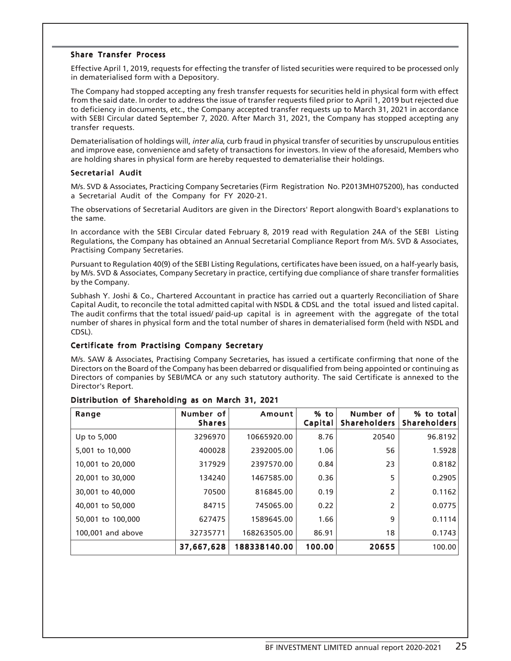## Share Transfer Process

Effective April 1, 2019, requests for effecting the transfer of listed securities were required to be processed only in dematerialised form with a Depository.

The Company had stopped accepting any fresh transfer requests for securities held in physical form with effect from the said date. In order to address the issue of transfer requests filed prior to April 1, 2019 but rejected due to deficiency in documents, etc., the Company accepted transfer requests up to March 31, 2021 in accordance with SEBI Circular dated September 7, 2020. After March 31, 2021, the Company has stopped accepting any transfer requests.

Dematerialisation of holdings will, *inter alia*, curb fraud in physical transfer of securities by unscrupulous entities and improve ease, convenience and safety of transactions for investors. In view of the aforesaid, Members who are holding shares in physical form are hereby requested to dematerialise their holdings.

# Secretarial Audit

M/s. SVD & Associates, Practicing Company Secretaries (Firm Registration No. P2013MH075200), has conducted a Secretarial Audit of the Company for FY 2020-21.

The observations of Secretarial Auditors are given in the Directors' Report alongwith Board's explanations to the same.

In accordance with the SEBI Circular dated February 8, 2019 read with Regulation 24A of the SEBI Listing Regulations, the Company has obtained an Annual Secretarial Compliance Report from M/s. SVD & Associates, Practising Company Secretaries.

Pursuant to Regulation 40(9) of the SEBI Listing Regulations, certificates have been issued, on a half-yearly basis, by M/s. SVD & Associates, Company Secretary in practice, certifying due compliance of share transfer formalities by the Company.

Subhash Y. Joshi & Co., Chartered Accountant in practice has carried out a quarterly Reconciliation of Share Capital Audit, to reconcile the total admitted capital with NSDL & CDSL and the total issued and listed capital. The audit confirms that the total issued/ paid-up capital is in agreement with the aggregate of the total number of shares in physical form and the total number of shares in dematerialised form (held with NSDL and CDSL).

## Certificate from Practising Company Secretary

M/s. SAW & Associates, Practising Company Secretaries, has issued a certificate confirming that none of the Directors on the Board of the Company has been debarred or disqualified from being appointed or continuing as Directors of companies by SEBI/MCA or any such statutory authority. The said Certificate is annexed to the Director's Report.

| Range             | Number of<br><b>Shares</b> | Amount       | % to<br>Capital | Number of<br><b>Shareholders</b> | % to total<br><b>Shareholders</b> |
|-------------------|----------------------------|--------------|-----------------|----------------------------------|-----------------------------------|
| Up to 5,000       | 3296970                    | 10665920.00  | 8.76            | 20540                            | 96.8192                           |
| 5,001 to 10,000   | 400028                     | 2392005.00   | 1.06            | 56                               | 1.5928                            |
| 10,001 to 20,000  | 317929                     | 2397570.00   | 0.84            | 23                               | 0.8182                            |
| 20,001 to 30,000  | 134240                     | 1467585.00   | 0.36            | 5                                | 0.2905                            |
| 30,001 to 40,000  | 70500                      | 816845.00    | 0.19            | 2                                | 0.1162                            |
| 40,001 to 50,000  | 84715                      | 745065.00    | 0.22            | $\overline{2}$                   | 0.0775                            |
| 50,001 to 100,000 | 627475                     | 1589645.00   | 1.66            | 9                                | 0.1114                            |
| 100,001 and above | 32735771                   | 168263505.00 | 86.91           | 18                               | 0.1743                            |
|                   | 37,667,628                 | 188338140.00 | 100.00          | 20655                            | 100.00                            |

## Distribution of Shareholding as on March 31, 2021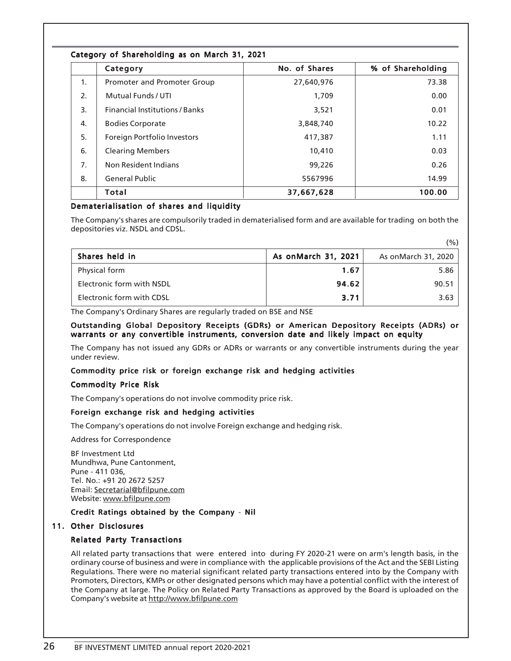|  |  | Category of Shareholding as on March 31, 2021 |  |  |  |  |  |  |
|--|--|-----------------------------------------------|--|--|--|--|--|--|
|--|--|-----------------------------------------------|--|--|--|--|--|--|

|    | Category                              | No. of Shares | % of Shareholding |
|----|---------------------------------------|---------------|-------------------|
| 1. | Promoter and Promoter Group           | 27,640,976    | 73.38             |
| 2. | Mutual Funds / UTI                    | 1,709         | 0.00              |
| 3. | <b>Financial Institutions / Banks</b> | 3,521         | 0.01              |
| 4. | <b>Bodies Corporate</b>               | 3,848,740     | 10.22             |
| 5. | Foreign Portfolio Investors           | 417,387       | 1.11              |
| 6. | <b>Clearing Members</b>               | 10,410        | 0.03              |
| 7. | Non Resident Indians                  | 99,226        | 0.26              |
| 8. | <b>General Public</b>                 | 5567996       | 14.99             |
|    | <b>Total</b>                          | 37,667,628    | 100.00            |

# Dematerialisation of shares and liquidity

The Company's shares are compulsorily traded in dematerialised form and are available for trading on both the depositories viz. NSDL and CDSL.

 $(0/\lambda)$ 

|                           |                     | ( / 0 /             |
|---------------------------|---------------------|---------------------|
| Shares held in            | As onMarch 31, 2021 | As onMarch 31, 2020 |
| Physical form             | 1.67                | 5.86                |
| Electronic form with NSDL | 94.62               | 90.51               |
| Electronic form with CDSL | 3.71                | 3.63                |

The Company's Ordinary Shares are regularly traded on BSE and NSE

## Outstanding Global Depository Receipts (GDRs) or American Depository Receipts (ADRs) or warrants or any convertible instruments, conversion date and likely impact on equity

The Company has not issued any GDRs or ADRs or warrants or any convertible instruments during the year under review.

# Commodity price risk or foreign exchange risk and hedging activities

#### Commodity Price Risk

The Company's operations do not involve commodity price risk.

## Foreign exchange risk and hedging activities

The Company's operations do not involve Foreign exchange and hedging risk.

Address for Correspondence

BF Investment Ltd Mundhwa, Pune Cantonment, Pune - 411 036, Tel. No.: +91 20 2672 5257 Email: Secretarial@bfilpune.com Website: www.bfilpune.com

## Credit Ratings obtained by the Company - Nil

#### 11. Other Disclosures

## Related Party Transactions

All related party transactions that were entered into during FY 2020-21 were on arm's length basis, in the ordinary course of business and were in compliance with the applicable provisions of the Act and the SEBI Listing Regulations. There were no material significant related party transactions entered into by the Company with Promoters, Directors, KMPs or other designated persons which may have a potential conflict with the interest of the Company at large. The Policy on Related Party Transactions as approved by the Board is uploaded on the Company's website at http://www.bfilpune.com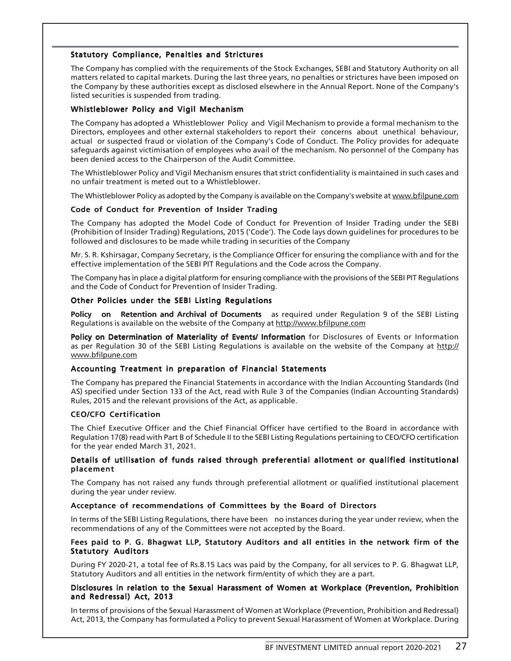## Statutory Compliance, Penalties and Strictures

The Company has complied with the requirements of the Stock Exchanges, SEBI and Statutory Authority on all matters related to capital markets. During the last three years, no penalties or strictures have been imposed on the Company by these authorities except as disclosed elsewhere in the Annual Report. None of the Company's listed securities is suspended from trading.

#### Whistleblower Policy and Vigil Mechanism

The Company has adopted a Whistleblower Policy and Vigil Mechanism to provide a formal mechanism to the Directors, employees and other external stakeholders to report their concerns about unethical behaviour, actual or suspected fraud or violation of the Company's Code of Conduct. The Policy provides for adequate safeguards against victimisation of employees who avail of the mechanism. No personnel of the Company has been denied access to the Chairperson of the Audit Committee.

The Whistleblower Policy and Vigil Mechanism ensures that strict confidentiality is maintained in such cases and no unfair treatment is meted out to a Whistleblower.

The Whistleblower Policy as adopted by the Company is available on the Company's website at www.bfilpune.com

#### Code of Conduct for Prevention of Insider Trading

The Company has adopted the Model Code of Conduct for Prevention of Insider Trading under the SEBI (Prohibition of Insider Trading) Regulations, 2015 ('Code'). The Code lays down guidelines for procedures to be followed and disclosures to be made while trading in securities of the Company

Mr. S. R. Kshirsagar, Company Secretary, is the Compliance Officer for ensuring the compliance with and for the effective implementation of the SEBI PIT Regulations and the Code across the Company.

The Company has in place a digital platform for ensuring compliance with the provisions of the SEBI PIT Regulations and the Code of Conduct for Prevention of Insider Trading.

#### Other Policies under the SEBI Listing Regulations

Policy on Retention and Archival of Documents as required under Regulation 9 of the SEBI Listing Regulations is available on the website of the Company at http://www.bfilpune.com

Policy on Determination of Materiality of Events/ Information for Disclosures of Events or Information as per Regulation 30 of the SEBI Listing Regulations is available on the website of the Company at http:// www.bfilpune.com

## Accounting Treatment in preparation of Financial Statements

The Company has prepared the Financial Statements in accordance with the Indian Accounting Standards (Ind AS) specified under Section 133 of the Act, read with Rule 3 of the Companies (Indian Accounting Standards) Rules, 2015 and the relevant provisions of the Act, as applicable.

## CEO/CFO Certification

The Chief Executive Officer and the Chief Financial Officer have certified to the Board in accordance with Regulation 17(8) read with Part B of Schedule II to the SEBI Listing Regulations pertaining to CEO/CFO certification for the year ended March 31, 2021.

#### Details of utilisation of funds raised through preferential allotment or qualified institutional placement

The Company has not raised any funds through preferential allotment or qualified institutional placement during the year under review.

#### Acceptance of recommendations of Committees by the Board of Directors

In terms of the SEBI Listing Regulations, there have been no instances during the year under review, when the recommendations of any of the Committees were not accepted by the Board.

#### Fees paid to P. G. Bhagwat LLP, Statutory Auditors and all entities in the network firm of the Statutory Auditors

During FY 2020-21, a total fee of Rs.8.15 Lacs was paid by the Company, for all services to P. G. Bhagwat LLP, Statutory Auditors and all entities in the network firm/entity of which they are a part.

#### Disclosures in relation to the Sexual Harassment of Women at Workplace (Prevention, Prohibition and Redressal) Act, 2013

In terms of provisions of the Sexual Harassment of Women at Workplace (Prevention, Prohibition and Redressal) Act, 2013, the Company has formulated a Policy to prevent Sexual Harassment of Women at Workplace. During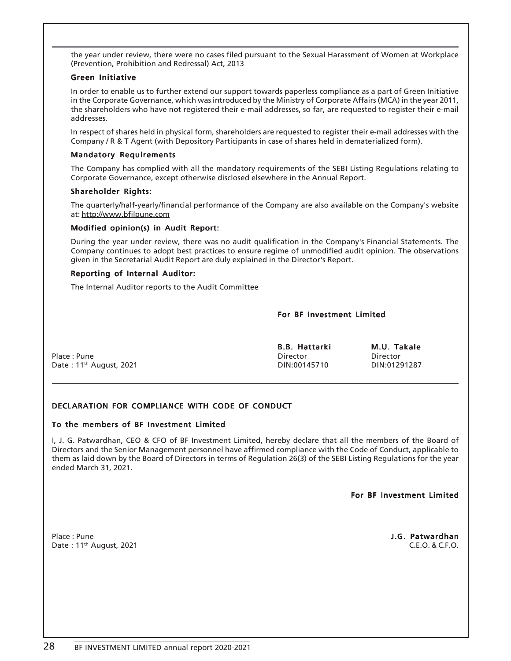the year under review, there were no cases filed pursuant to the Sexual Harassment of Women at Workplace (Prevention, Prohibition and Redressal) Act, 2013

#### Green Initiative

In order to enable us to further extend our support towards paperless compliance as a part of Green Initiative in the Corporate Governance, which was introduced by the Ministry of Corporate Affairs (MCA) in the year 2011, the shareholders who have not registered their e-mail addresses, so far, are requested to register their e-mail addresses.

In respect of shares held in physical form, shareholders are requested to register their e-mail addresses with the Company / R & T Agent (with Depository Participants in case of shares held in dematerialized form).

#### Mandatory Requirements

The Company has complied with all the mandatory requirements of the SEBI Listing Regulations relating to Corporate Governance, except otherwise disclosed elsewhere in the Annual Report.

#### Shareholder Rights:

The quarterly/half-yearly/financial performance of the Company are also available on the Company's website at: http://www.bfilpune.com

## Modified opinion(s) in Audit Report:

During the year under review, there was no audit qualification in the Company's Financial Statements. The Company continues to adopt best practices to ensure regime of unmodified audit opinion. The observations given in the Secretarial Audit Report are duly explained in the Director's Report.

#### Reporting of Internal Auditor:

The Internal Auditor reports to the Audit Committee

#### For BF Investment Limited

|                                     | <b>B.B. Hattarki</b> | M.U. Takale  |
|-------------------------------------|----------------------|--------------|
| Place: Pune                         | Director             | Director     |
| Date: 11 <sup>th</sup> August, 2021 | DIN:00145710         | DIN:01291287 |

## DECLARATION FOR COMPLIANCE WITH CODE OF CONDUCT

## To the members of BF Investment Limited

I, J. G. Patwardhan, CEO & CFO of BF Investment Limited, hereby declare that all the members of the Board of Directors and the Senior Management personnel have affirmed compliance with the Code of Conduct, applicable to them as laid down by the Board of Directors in terms of Regulation 26(3) of the SEBI Listing Regulations for the year ended March 31, 2021.

For BF Investment Limited

Place : Pune **J.G. Patwardhan**<br>Date : 11<sup>th</sup> August, 2021 **C.E.O. & C.F.O.** Date: 11<sup>th</sup> August, 2021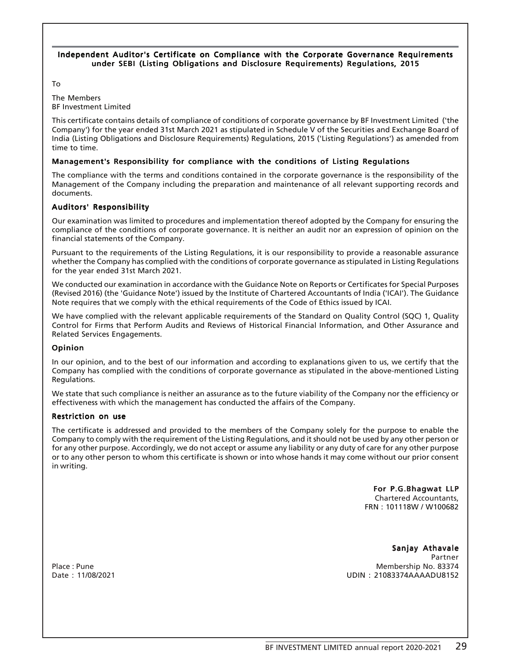#### Independent Auditor's Certificate on Compliance with the Corporate Governance Requirements under SEBI (Listing Obligations and Disclosure Requirements) Regulations, 2015

To

The Members BF Investment Limited

This certificate contains details of compliance of conditions of corporate governance by BF Investment Limited ('the Company') for the year ended 31st March 2021 as stipulated in Schedule V of the Securities and Exchange Board of India (Listing Obligations and Disclosure Requirements) Regulations, 2015 ('Listing Regulations') as amended from time to time.

# Management's Responsibility for compliance with the conditions of Listing Regulations

The compliance with the terms and conditions contained in the corporate governance is the responsibility of the Management of the Company including the preparation and maintenance of all relevant supporting records and documents.

# Auditors' Responsibility

Our examination was limited to procedures and implementation thereof adopted by the Company for ensuring the compliance of the conditions of corporate governance. It is neither an audit nor an expression of opinion on the financial statements of the Company.

Pursuant to the requirements of the Listing Regulations, it is our responsibility to provide a reasonable assurance whether the Company has complied with the conditions of corporate governance as stipulated in Listing Regulations for the year ended 31st March 2021.

We conducted our examination in accordance with the Guidance Note on Reports or Certificates for Special Purposes (Revised 2016) (the 'Guidance Note') issued by the Institute of Chartered Accountants of India ('ICAI'). The Guidance Note requires that we comply with the ethical requirements of the Code of Ethics issued by ICAI.

We have complied with the relevant applicable requirements of the Standard on Quality Control (SQC) 1, Quality Control for Firms that Perform Audits and Reviews of Historical Financial Information, and Other Assurance and Related Services Engagements.

## Opinion

In our opinion, and to the best of our information and according to explanations given to us, we certify that the Company has complied with the conditions of corporate governance as stipulated in the above-mentioned Listing Regulations.

We state that such compliance is neither an assurance as to the future viability of the Company nor the efficiency or effectiveness with which the management has conducted the affairs of the Company.

## Restriction on use

The certificate is addressed and provided to the members of the Company solely for the purpose to enable the Company to comply with the requirement of the Listing Regulations, and it should not be used by any other person or for any other purpose. Accordingly, we do not accept or assume any liability or any duty of care for any other purpose or to any other person to whom this certificate is shown or into whose hands it may come without our prior consent in writing.

> For P.G.Bhagwat LLP Chartered Accountants, FRN : 101118W / W100682

Sanjay Athavale Partner Place : Pune Membership No. 83374 Date : 11/08/2021 UDIN : 21083374AAAADU8152